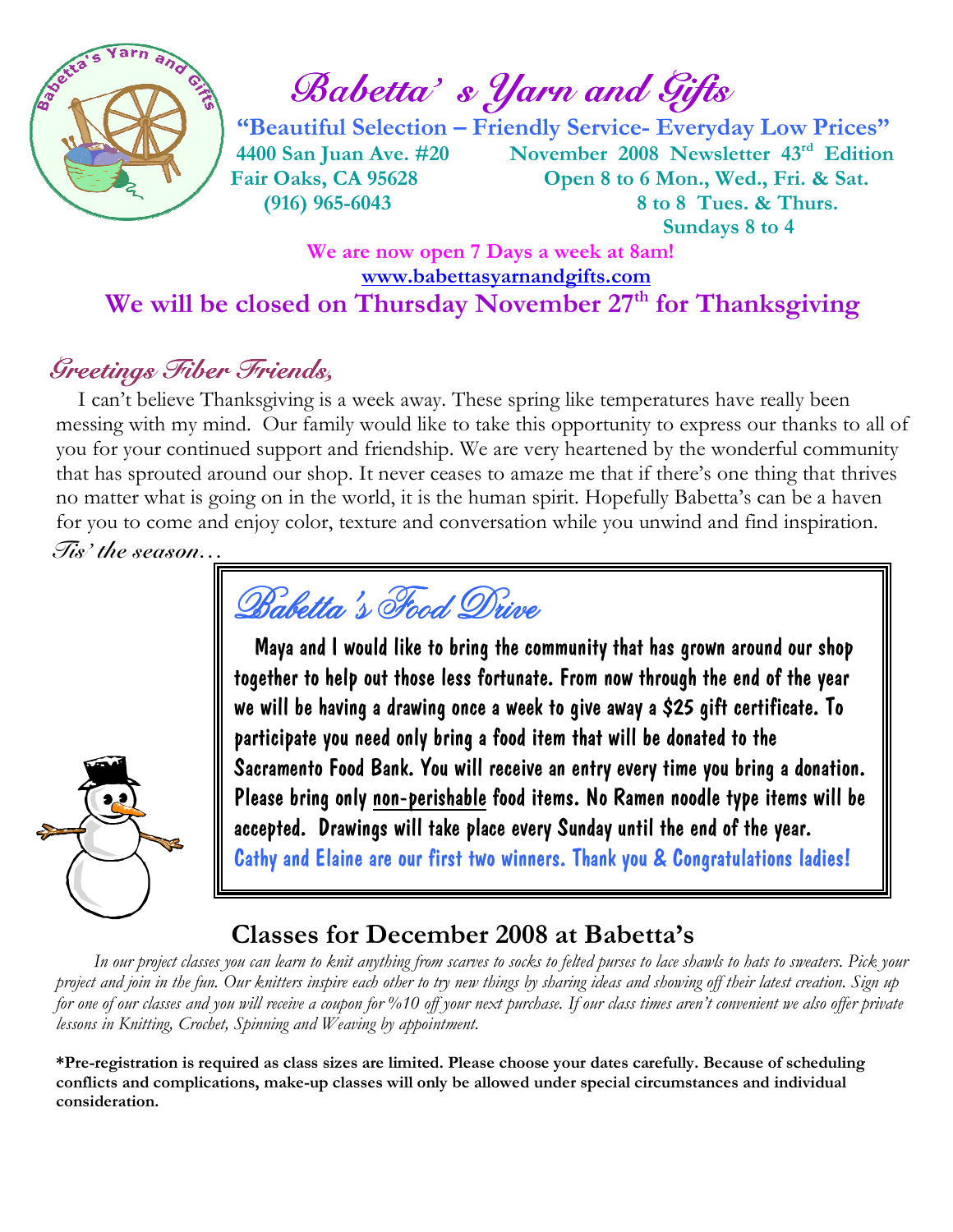

Babetta's *Yarn and Gifts* 

 "Beautiful Selection – Friendly Service- Everyday Low Prices" 4400 San Juan Ave. #20 November 2008 Newsletter 43rd Edition Fair Oaks, CA 95628 Open 8 to 6 Mon., Wed., Fri. & Sat. (916) 965-6043 8 to 8 Tues. & Thurs. Sundays 8 to 4

## We are now open 7 Days a week at 8am! www.babettasyarnandgifts.com We will be closed on Thursday November 27<sup>th</sup> for Thanksgiving

## Greetings Fiber Friends,

 I can't believe Thanksgiving is a week away. These spring like temperatures have really been messing with my mind. Our family would like to take this opportunity to express our thanks to all of you for your continued support and friendship. We are very heartened by the wonderful community that has sprouted around our shop. It never ceases to amaze me that if there's one thing that thrives no matter what is going on in the world, it is the human spirit. Hopefully Babetta's can be a haven for you to come and enjoy color, texture and conversation while you unwind and find inspiration. Tis' the season…

Babetta's Food Drive

 Maya and I would like to bring the community that has grown around our shop together to help out those less fortunate. From now through the end of the year we will be having a drawing once a week to give away a \$25 gift certificate. To participate you need only bring a food item that will be donated to the Sacramento Food Bank. You will receive an entry every time you bring a donation. Please bring only non-perishable food items. No Ramen noodle type items will be accepted. Drawings will take place every Sunday until the end of the year. Cathy and Elaine are our first two winners. Thank you & Congratulations ladies!

## Classes for December 2008 at Babetta's

 In our project classes you can learn to knit anything from scarves to socks to felted purses to lace shawls to hats to sweaters. Pick your project and join in the fun. Our knitters inspire each other to try new things by sharing ideas and showing off their latest creation. Sign up for one of our classes and you will receive a coupon for %10 off your next purchase. If our class times aren't convenient we also offer private lessons in Knitting, Crochet, Spinning and Weaving by appointment.

\*Pre-registration is required as class sizes are limited. Please choose your dates carefully. Because of scheduling conflicts and complications, make-up classes will only be allowed under special circumstances and individual consideration.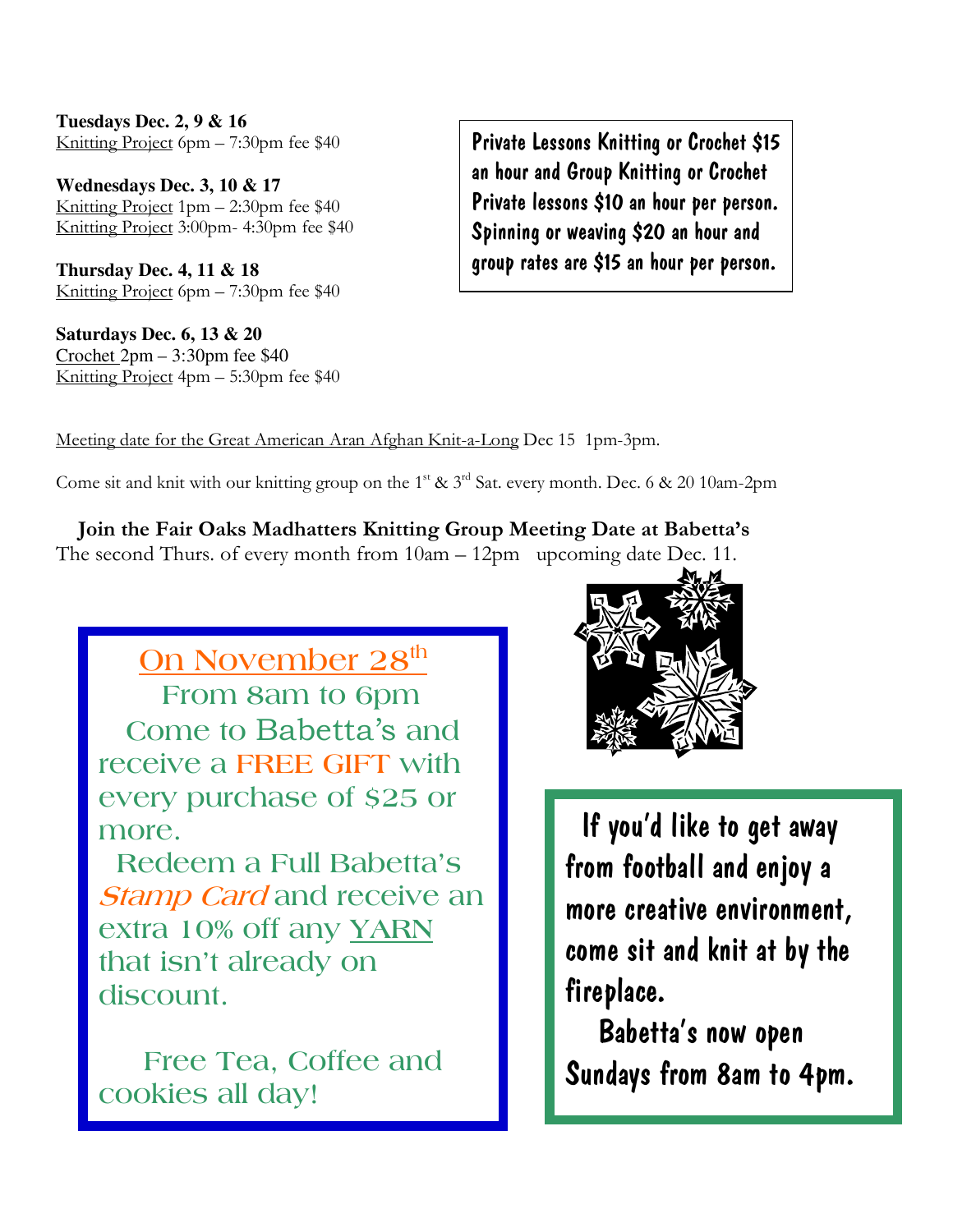**Tuesdays Dec. 2, 9 & 16**  Knitting Project 6pm – 7:30pm fee \$40

**Wednesdays Dec. 3, 10 & 17**  Knitting Project 1pm – 2:30pm fee \$40 Knitting Project 3:00pm- 4:30pm fee \$40

**Thursday Dec. 4, 11 & 18**  Knitting Project 6pm – 7:30pm fee \$40

**Saturdays Dec. 6, 13 & 20**  Crochet 2pm – 3:30pm fee \$40 Knitting Project 4pm – 5:30pm fee \$40

Private Lessons Knitting or Crochet \$15 an hour and Group Knitting or Crochet Private lessons \$10 an hour per person. Spinning or weaving \$20 an hour and group rates are \$15 an hour per person.

Meeting date for the Great American Aran Afghan Knit-a-Long Dec 15 1pm-3pm.

Come sit and knit with our knitting group on the 1<sup>st</sup>  $\&$  3<sup>rd</sup> Sat. every month. Dec. 6  $\&$  20 10am-2pm

 Join the Fair Oaks Madhatters Knitting Group Meeting Date at Babetta's The second Thurs. of every month from 10am – 12pm upcoming date Dec. 11.

<u>On November 28<sup>th</sup></u> From 8am to 6pm Come to Babetta's and receive a FREE GIFT with every purchase of \$25 or more.

 Redeem a Full Babetta's **Stamp Card and receive an** extra 10% off any YARN that isn't already on discount.

 Free Tea, Coffee and cookies all day!



 If you'd like to get away from football and enjoy a more creative environment, come sit and knit at by the fireplace.

 Babetta's now open Sundays from 8am to 4pm.